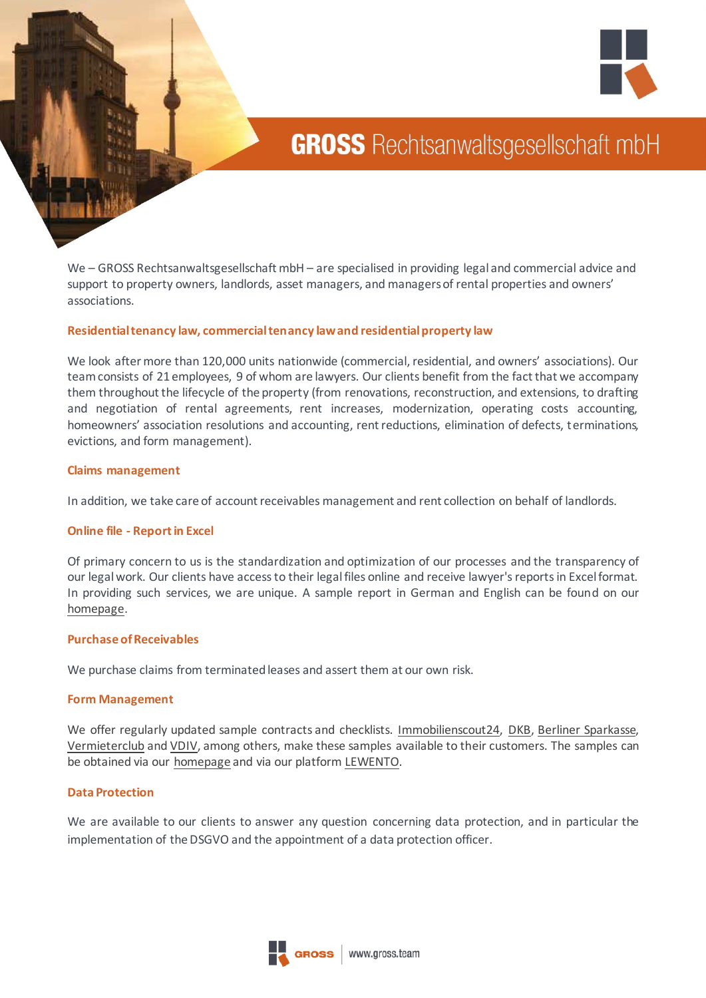



# **GROSS** Rechtsanwaltsgesellschaft mbH

We – GROSS Rechtsanwaltsgesellschaft mbH – are specialised in providing legal and commercial advice and support to property owners, landlords, asset managers, and managers of rental properties and owners' associations.

### **Residential tenancy law, commercial tenancy law and residential property law**

We look after more than 120,000 units nationwide (commercial, residential, and owners' associations). Our team consists of 21 employees, 9 of whom are lawyers. Our clients benefit from the fact that we accompany them throughout the lifecycle of the property (from renovations, reconstruction, and extensions, to drafting and negotiation of rental agreements, rent increases, modernization, operating costs accounting, homeowners' association resolutions and accounting, rent reductions, elimination of defects, terminations, evictions, and form management).

### **Claims management**

In addition, we take care of account receivables management and rent collection on behalf of landlords.

### **Online file - Report in Excel**

Of primary concern to us is the standardization and optimization of our processes and the transparency of our legal work. Our clients have access to their legal files online and receive lawyer's reports in Excel format. In providing such services, we are unique. A sample report in German and English can be found on our [homepage.](https://www.gross.team/wp-content/uploads/2021/01/GROSS-Rechtsanwaltsgesellschaft-mbH-Muster-Report.xlsx)

#### **Purchase of Receivables**

We purchase claims from terminated leases and assert them at our own risk.

### **Form Management**

We offer regularly updated sample contracts and checklists. [Immobilienscout24,](https://www.immobilienscout24.de/eigentuemer/plus/vorlagen/) [DKB,](https://www.lewento.de/partner/dkb/) [Berliner Sparkasse,](https://www.lewento.de/partner/berliner-sparkasse/) [Vermieterclub](https://www.vermieterclub.de/) an[d VDIV,](https://www.lewento.de/partner/vdiv/) among others, make these samples available to their customers. The samples can be obtained via our [homepage](https://www.gross.team/) and via our platfor[m LEWENTO.](https://www.lewento.de/)

### **Data Protection**

We are available to our clients to answer any question concerning data protection, and in particular the implementation of the DSGVO and the appointment of a data protection officer.